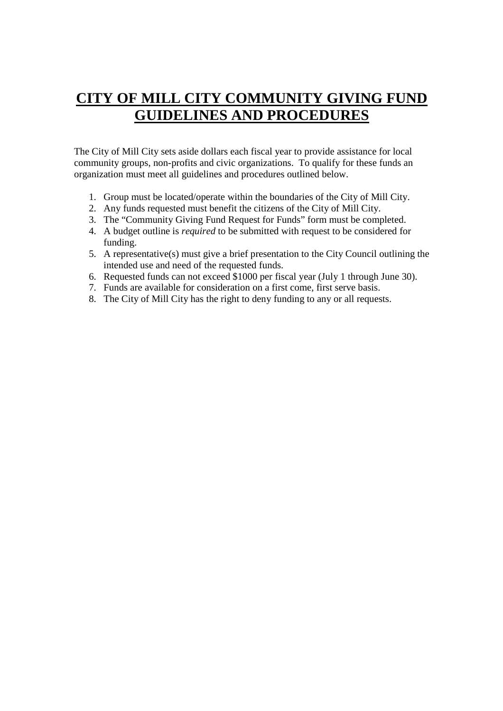## **CITY OF MILL CITY COMMUNITY GIVING FUND GUIDELINES AND PROCEDURES**

The City of Mill City sets aside dollars each fiscal year to provide assistance for local community groups, non-profits and civic organizations. To qualify for these funds an organization must meet all guidelines and procedures outlined below.

- 1. Group must be located/operate within the boundaries of the City of Mill City.
- 2. Any funds requested must benefit the citizens of the City of Mill City.
- 3. The "Community Giving Fund Request for Funds" form must be completed.
- 4. A budget outline is *required* to be submitted with request to be considered for funding.
- 5. A representative(s) must give a brief presentation to the City Council outlining the intended use and need of the requested funds.
- 6. Requested funds can not exceed \$1000 per fiscal year (July 1 through June 30).
- 7. Funds are available for consideration on a first come, first serve basis.
- 8. The City of Mill City has the right to deny funding to any or all requests.